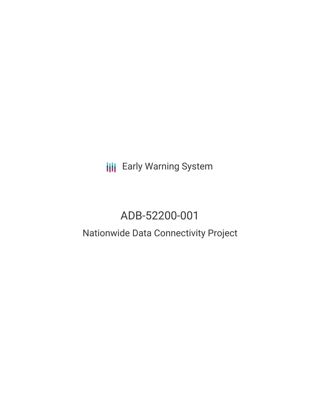**III** Early Warning System

# ADB-52200-001

## Nationwide Data Connectivity Project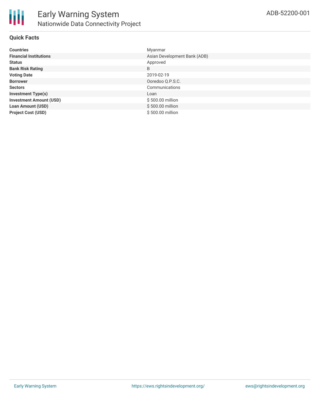

#### **Quick Facts**

| <b>Countries</b>               | Myanmar                      |
|--------------------------------|------------------------------|
| <b>Financial Institutions</b>  | Asian Development Bank (ADB) |
| <b>Status</b>                  | Approved                     |
| <b>Bank Risk Rating</b>        | B                            |
| <b>Voting Date</b>             | 2019-02-19                   |
| <b>Borrower</b>                | Ooredoo Q.P.S.C.             |
| <b>Sectors</b>                 | Communications               |
| <b>Investment Type(s)</b>      | Loan                         |
| <b>Investment Amount (USD)</b> | \$500.00 million             |
| <b>Loan Amount (USD)</b>       | \$500.00 million             |
| <b>Project Cost (USD)</b>      | \$500.00 million             |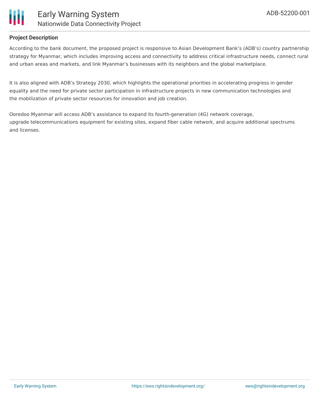

#### **Project Description**

According to the bank document, the proposed project is responsive to Asian Development Bank's (ADB's) country partnership strategy for Myanmar, which includes improving access and connectivity to address critical infrastructure needs, connect rural and urban areas and markets, and link Myanmar's businesses with its neighbors and the global marketplace.

It is also aligned with ADB's Strategy 2030, which highlights the operational priorities in accelerating progress in gender equality and the need for private sector participation in infrastructure projects in new communication technologies and the mobilization of private sector resources for innovation and job creation.

Ooredoo Myanmar will access ADB's assistance to expand its fourth-generation (4G) network coverage, upgrade telecommunications equipment for existing sites, expand fiber cable network, and acquire additional spectrums and licenses.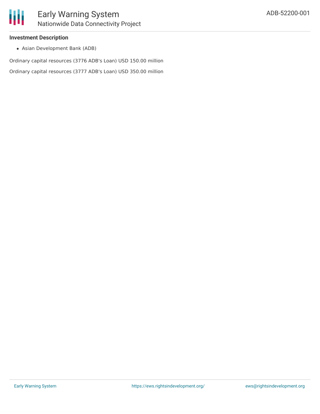#### **Investment Description**

Asian Development Bank (ADB)

Ordinary capital resources (3776 ADB's Loan) USD 150.00 million

Ordinary capital resources (3777 ADB's Loan) USD 350.00 million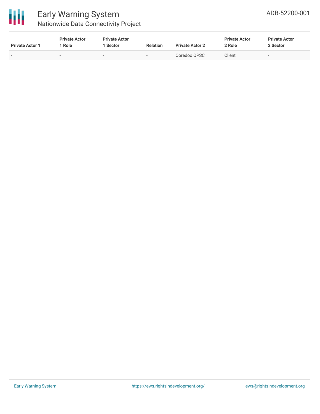

## Early Warning System Nationwide Data Connectivity Project

| <b>Private Actor 1</b> | <b>Private Actor</b><br>Role | <b>Private Actor</b><br>1 Sector | <b>Relation</b> | <b>Private Actor 2</b> | <b>Private Actor</b><br>2 Role | <b>Private Actor</b><br>2 Sector |
|------------------------|------------------------------|----------------------------------|-----------------|------------------------|--------------------------------|----------------------------------|
|                        | -                            | $\sim$                           | -               | Ooredoo OPSC           | Client                         | $\overline{\phantom{0}}$         |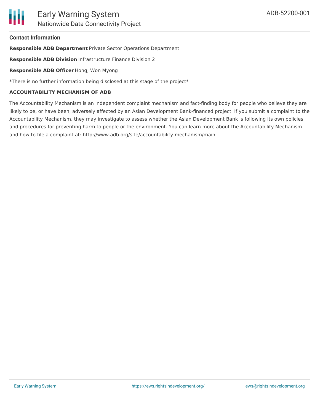#### **Contact Information**

**Responsible ADB Department** Private Sector Operations Department

**Responsible ADB Division** Infrastructure Finance Division 2

**Responsible ADB Officer** Hong, Won Myong

\*There is no further information being disclosed at this stage of the project\*

#### **ACCOUNTABILITY MECHANISM OF ADB**

The Accountability Mechanism is an independent complaint mechanism and fact-finding body for people who believe they are likely to be, or have been, adversely affected by an Asian Development Bank-financed project. If you submit a complaint to the Accountability Mechanism, they may investigate to assess whether the Asian Development Bank is following its own policies and procedures for preventing harm to people or the environment. You can learn more about the Accountability Mechanism and how to file a complaint at: http://www.adb.org/site/accountability-mechanism/main